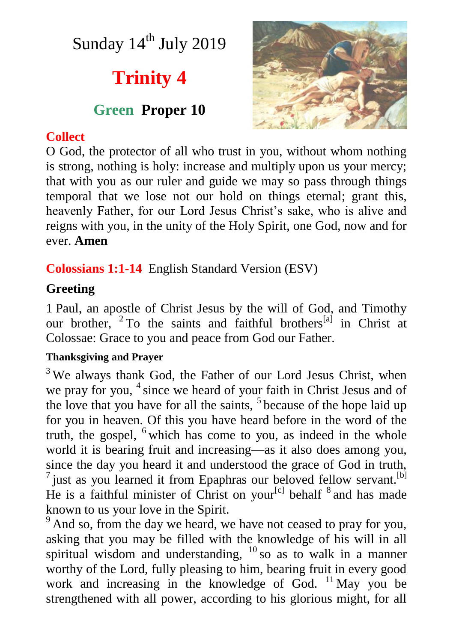Sunday 14<sup>th</sup> July 2019

# **Trinity 4**

## **Green Proper 10**



## **Collect**

O God, the protector of all who trust in you, without whom nothing is strong, nothing is holy: increase and multiply upon us your mercy; that with you as our ruler and guide we may so pass through things temporal that we lose not our hold on things eternal; grant this, heavenly Father, for our Lord Jesus Christ's sake, who is alive and reigns with you, in the unity of the Holy Spirit, one God, now and for ever. **Amen**

**Colossians 1:1-14** English Standard Version (ESV)

## **Greeting**

1 Paul, an apostle of Christ Jesus by the will of God, and Timothy our brother, <sup>2</sup> To the saints and faithful brothers<sup>[a]</sup> in Christ at Colossae: Grace to you and peace from God our Father.

#### **Thanksgiving and Prayer**

 $3$  We always thank God, the Father of our Lord Jesus Christ, when we pray for you, <sup>4</sup> since we heard of your faith in Christ Jesus and of the love that you have for all the saints,  $5$  because of the hope laid up for you in heaven. Of this you have heard before in the word of the truth, the gospel, <sup>6</sup> which has come to you, as indeed in the whole world it is bearing fruit and increasing—as it also does among you, since the day you heard it and understood the grace of God in truth,  $^7$  just as you learned it from Epaphras our beloved fellow servant.<sup>[b]</sup> He is a faithful minister of Christ on your<sup>[c]</sup> behalf  $8$  and has made known to us your love in the Spirit.

 $9<sup>9</sup>$  And so, from the day we heard, we have not ceased to pray for you, asking that you may be filled with the knowledge of his will in all spiritual wisdom and understanding,  $^{10}$  so as to walk in a manner worthy of the Lord, fully pleasing to him, bearing fruit in every good work and increasing in the knowledge of God. <sup>11</sup> May you be strengthened with all power, according to his glorious might, for all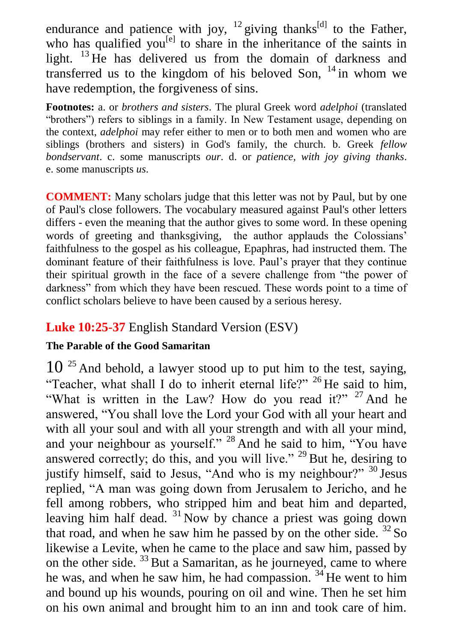endurance and patience with joy,  $^{12}$  giving thanks<sup>[d]</sup> to the Father, who has qualified you<sup>[e]</sup> to share in the inheritance of the saints in light. <sup>13</sup> He has delivered us from the domain of darkness and transferred us to the kingdom of his beloved Son,  $14$  in whom we have redemption, the forgiveness of sins.

**Footnotes:** a. or *brothers and sisters*. The plural Greek word *adelphoi* (translated "brothers") refers to siblings in a family. In New Testament usage, depending on the context, *adelphoi* may refer either to men or to both men and women who are siblings (brothers and sisters) in God's family, the church. b. Greek *fellow bondservant*. c. some manuscripts *our*. d. or *patience, with joy giving thanks*. e. some manuscripts *us*.

**COMMENT:** Many scholars judge that this letter was not by Paul, but by one of Paul's close followers. The vocabulary measured against Paul's other letters differs - even the meaning that the author gives to some word. In these opening words of greeting and thanksgiving, the author applauds the Colossians' faithfulness to the gospel as his colleague, Epaphras, had instructed them. The dominant feature of their faithfulness is love. Paul's prayer that they continue their spiritual growth in the face of a severe challenge from "the power of darkness" from which they have been rescued. These words point to a time of conflict scholars believe to have been caused by a serious heresy.

### **Luke 10:25-37** English Standard Version (ESV)

#### **The Parable of the Good Samaritan**

 $10^{25}$  And behold, a lawyer stood up to put him to the test, saying, "Teacher, what shall I do to inherit eternal life?"  $^{26}$  He said to him, "What is written in the Law? How do you read it?"  $27$  And he answered, "You shall love the Lord your God with all your heart and with all your soul and with all your strength and with all your mind, and your neighbour as yourself." <sup>28</sup> And he said to him, "You have answered correctly; do this, and you will live." <sup>29</sup> But he, desiring to justify himself, said to Jesus, "And who is my neighbour?" <sup>30</sup> Jesus replied, "A man was going down from Jerusalem to Jericho, and he fell among robbers, who stripped him and beat him and departed, leaving him half dead.  $31$  Now by chance a priest was going down that road, and when he saw him he passed by on the other side.  ${}^{32}$  So likewise a Levite, when he came to the place and saw him, passed by on the other side.  $33$  But a Samaritan, as he journeyed, came to where he was, and when he saw him, he had compassion.  $34$  He went to him and bound up his wounds, pouring on oil and wine. Then he set him on his own animal and brought him to an inn and took care of him.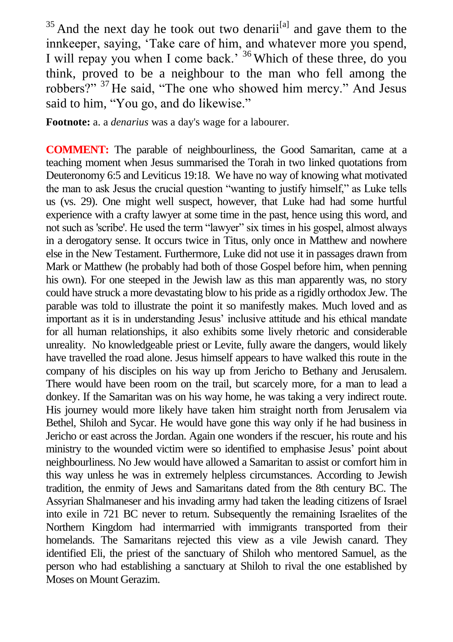$35$  And the next day he took out two denarii<sup>[a]</sup> and gave them to the innkeeper, saying, 'Take care of him, and whatever more you spend, I will repay you when I come back.<sup>36</sup> Which of these three, do you think, proved to be a neighbour to the man who fell among the robbers?" <sup>37</sup> He said, "The one who showed him mercy." And Jesus said to him, "You go, and do likewise."

**Footnote:** a. a *denarius* was a day's wage for a labourer.

**COMMENT:** The parable of neighbourliness, the Good Samaritan, came at a teaching moment when Jesus summarised the Torah in two linked quotations from Deuteronomy 6:5 and Leviticus 19:18. We have no way of knowing what motivated the man to ask Jesus the crucial question "wanting to justify himself," as Luke tells us (vs. 29). One might well suspect, however, that Luke had had some hurtful experience with a crafty lawyer at some time in the past, hence using this word, and not such as 'scribe'. He used the term "lawyer" six times in his gospel, almost always in a derogatory sense. It occurs twice in Titus, only once in Matthew and nowhere else in the New Testament. Furthermore, Luke did not use it in passages drawn from Mark or Matthew (he probably had both of those Gospel before him, when penning his own). For one steeped in the Jewish law as this man apparently was, no story could have struck a more devastating blow to his pride as a rigidly orthodox Jew. The parable was told to illustrate the point it so manifestly makes. Much loved and as important as it is in understanding Jesus' inclusive attitude and his ethical mandate for all human relationships, it also exhibits some lively rhetoric and considerable unreality. No knowledgeable priest or Levite, fully aware the dangers, would likely have travelled the road alone. Jesus himself appears to have walked this route in the company of his disciples on his way up from Jericho to Bethany and Jerusalem. There would have been room on the trail, but scarcely more, for a man to lead a donkey. If the Samaritan was on his way home, he was taking a very indirect route. His journey would more likely have taken him straight north from Jerusalem via Bethel, Shiloh and Sycar. He would have gone this way only if he had business in Jericho or east across the Jordan. Again one wonders if the rescuer, his route and his ministry to the wounded victim were so identified to emphasise Jesus' point about neighbourliness. No Jew would have allowed a Samaritan to assist or comfort him in this way unless he was in extremely helpless circumstances. According to Jewish tradition, the enmity of Jews and Samaritans dated from the 8th century BC. The Assyrian Shalmaneser and his invading army had taken the leading citizens of Israel into exile in 721 BC never to return. Subsequently the remaining Israelites of the Northern Kingdom had intermarried with immigrants transported from their homelands. The Samaritans rejected this view as a vile Jewish canard. They identified Eli, the priest of the sanctuary of Shiloh who mentored Samuel, as the person who had establishing a sanctuary at Shiloh to rival the one established by Moses on Mount Gerazim.